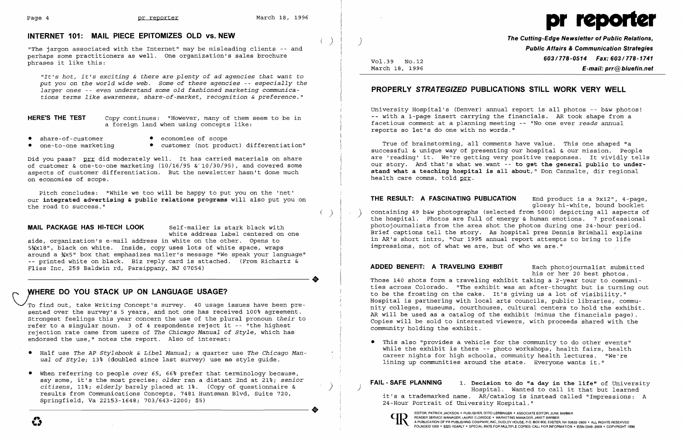$\langle \quad \rangle$ 



# INTERNET 101: MAIL PIECE EPITOMIZES OLD vs. NEW

"The jargon associated with the Internet" may be misleading clients -- and perhaps some practitioners as well. One organization's sales brochure phrases it like this:

HERE'S THE TEST *Copy continues:* "However, many of them seem to be in a foreign land when using concepts like:

- 
- 
- 
- share-of-customer economies of scope<br>• one-to-one marketing customer (not produ • customer (not product) differentiation"

*"It's hot, it's exciting* & *there* are *plenty of* ad *agencies that want* to *put you* on *the world wide web. Some of these agencies* -- *especially the larger* ones -- *even understand* some *old fashioned marketing communications terms like awareness, share-of-market, recognition* & *preference."* 

Did you pass? prr did moderately well. It has carried materials on share of customer & one-to-one marketing  $(10/16/95 \& 10/30/95)$ , and covered some aspects of customer differentiation. But the newsletter hasn't done much on economies of scope.

To find out, take Writing Concept's survey. 40 usage issues have been presented over the survey's 5 years, and not one has received 100% agreement. Strongest feelings this year concern the use of the plural pronoun *their* to refer to a singular noun. 3 of 4 respondents reject it -- "the highest rejection rate came from users of *The Chicago Manual of Style,* which has endorsed the use," notes the report. Also of interest:

- • Half use *The AP Stylebook* & *Libel Manual;* a quarter use *The Chicago Manual of Style;* 13% (doubled since last survey) use no style guide.
- When referring to people *over* 65, 66% prefer that terminology because, say some, it's the most precise; older ran a distant 2nd at 21%; senior<br>citizens, 11%; elderly barely placed at 1%. (Copy of questionnaire & ) (2008) [AIL-SAFE PLANNING 1. Decision to do "a day in the life" of University<br>r Springfield, Va 22153-1648; 703/643-2200; \$5)

pitch concludes: "While we too will be happy to put you on the 'net' our integrated advertising & public relations programs will also put you on the road to success."

### MAIL PACKAGE HAS HI-TECH LOOK Self-mailer is stark black with

white address label centered on one

side, organization's e-mail address in white on the other. Opens to 51x18", black on white. Inside, copy uses lots of white space, wraps around a %x5" box that emphasizes mailer's message "We speak your language" -- printed white on black. Biz reply card is attached. (From Richartz & Fliss Inc, 259 Baldwin rd, Parsippany, NJ 07054)

## WHERE DO YOU STACK UP ON LANGUAGE USAGE?

..

ADDED BENEFIT: A TRAVELING EXHIBIT Each photojournalist submitted his or her 20 best photos . Those 140 shots form a traveling exhibit taking a 2-year tour to communities across Colorado. "The exhibit was an after-thought but is turning out to be the frosting on the cake. It's giving us a lot of visibility." Hospital is partnering with local arts councils, public libraries, community colleges, museums, courthouses, cultural centers to hold the exhibit. AR will be used as a catalog of the exhibit (minus the financials page) . Copies will be sold to interested viewers, with proceeds shared with the community holding the exhibit.

Vol.39 No.12 March 18, 1996 The Cutting-Edge Newsletter of Public Relations, Public Affairs & Communication Strategies 603/778-0514 Fax: 603/778-1741 E-mail: prr@bluefin.net

# PROPERLY STRATEGIZED PUBLICATIONS STILL WORK VERY WELL

University Hospital's (Denver) annual report is all photos -- b&w photos! -- with a 1-page insert carrying the financials. AR took shape from a facetious comment at a planning meeting -- "No one ever *reads* annual reports so let's do one with no words."

True of brainstorming, all comments have value. This one shaped "a successful & unique way of presenting our hospital & our mission. People are 'reading' it. We're getting very positive responses. It vividly tells our story. And that's what we want -- to get the general public to understand what a teaching hospital is all about," Don Cannalte, dir regional health care comns, told prr.

THE RESULT: A FASCINATING PUBLICATION End product is a 9x12", 4-page, glossy hi-white, bound booklet ( )  $\vert$  ) containing 49 b&w photographs (selected from 5000) depicting all aspects of the hospital. Photos are full of energy & human emotions. 7 professional photojournalists from the area shot the photos during one 24-hour period. Brief captions tell the story. As hospital pres Dennis Brimhall explains in AR's short intro, "Our 1995 annual report attempts to bring to life impressions, not of what we are, but of who we are."

• This also "provides a vehicle for the community to do other events" lining up communities around the state. Everyone wants it."

24-Hour Portrait of University Hospital."<br> **CD** EDITOR, PATRICK JACKSON • PUBLISHER, OTTO LERBINGER • ASSOCIATE EDITOR, JUNE BARBER<br>
READER SERVICE MANAGER, LAURIE ELDRIDGE • MARKETING MANAGER, JANET BARBER

while the exhibit is there -- photo workshops, health fairs, health career nights for high schools, community health lectures. "We're